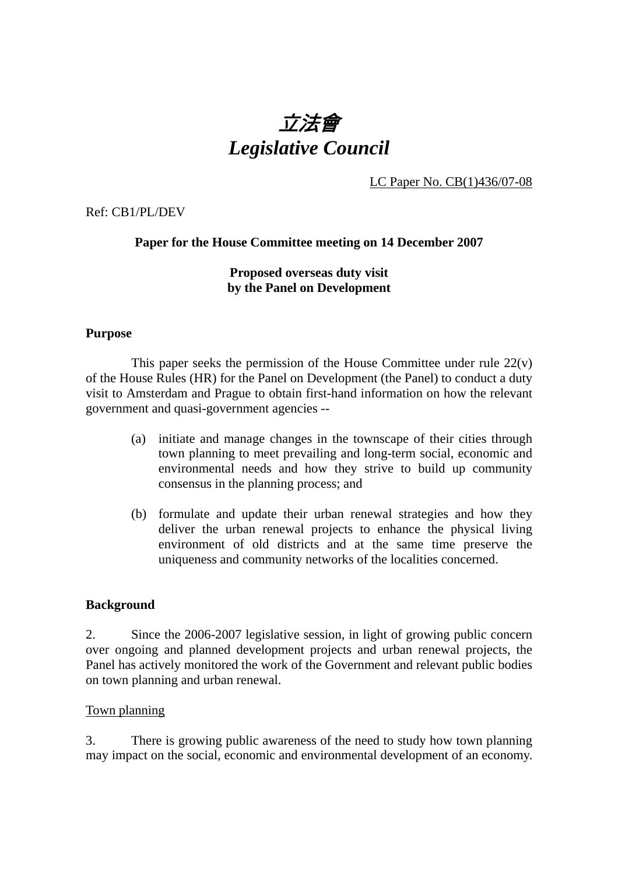# 立法會 *Legislative Council*

LC Paper No. CB(1)436/07-08

Ref: CB1/PL/DEV

# **Paper for the House Committee meeting on 14 December 2007**

# **Proposed overseas duty visit by the Panel on Development**

## **Purpose**

This paper seeks the permission of the House Committee under rule  $22(v)$ of the House Rules (HR) for the Panel on Development (the Panel) to conduct a duty visit to Amsterdam and Prague to obtain first-hand information on how the relevant government and quasi-government agencies --

- (a) initiate and manage changes in the townscape of their cities through town planning to meet prevailing and long-term social, economic and environmental needs and how they strive to build up community consensus in the planning process; and
- (b) formulate and update their urban renewal strategies and how they deliver the urban renewal projects to enhance the physical living environment of old districts and at the same time preserve the uniqueness and community networks of the localities concerned.

# **Background**

2. Since the 2006-2007 legislative session, in light of growing public concern over ongoing and planned development projects and urban renewal projects, the Panel has actively monitored the work of the Government and relevant public bodies on town planning and urban renewal.

#### Town planning

3. There is growing public awareness of the need to study how town planning may impact on the social, economic and environmental development of an economy.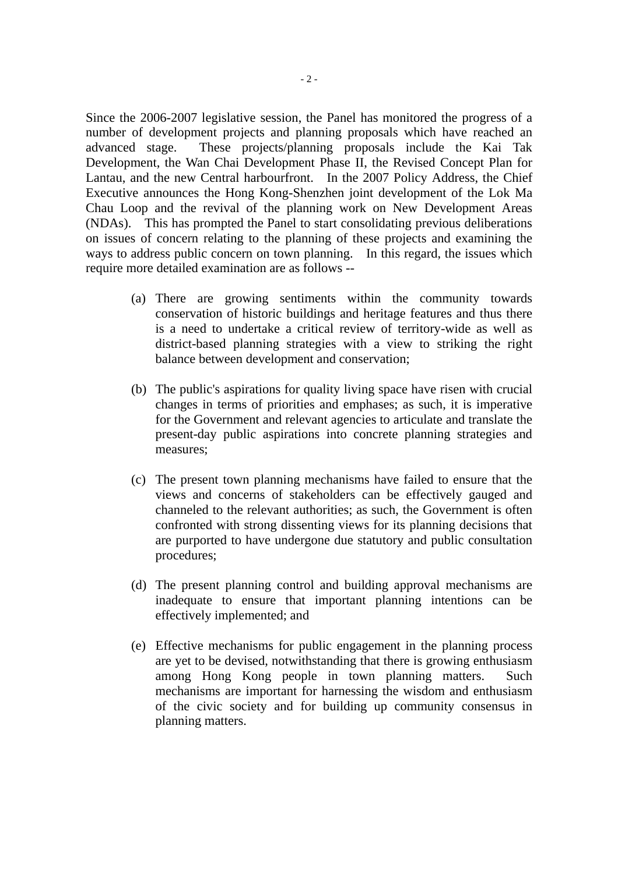Since the 2006-2007 legislative session, the Panel has monitored the progress of a number of development projects and planning proposals which have reached an advanced stage. These projects/planning proposals include the Kai Tak Development, the Wan Chai Development Phase II, the Revised Concept Plan for Lantau, and the new Central harbourfront. In the 2007 Policy Address, the Chief Executive announces the Hong Kong-Shenzhen joint development of the Lok Ma Chau Loop and the revival of the planning work on New Development Areas (NDAs). This has prompted the Panel to start consolidating previous deliberations on issues of concern relating to the planning of these projects and examining the ways to address public concern on town planning. In this regard, the issues which require more detailed examination are as follows --

- (a) There are growing sentiments within the community towards conservation of historic buildings and heritage features and thus there is a need to undertake a critical review of territory-wide as well as district-based planning strategies with a view to striking the right balance between development and conservation;
- (b) The public's aspirations for quality living space have risen with crucial changes in terms of priorities and emphases; as such, it is imperative for the Government and relevant agencies to articulate and translate the present-day public aspirations into concrete planning strategies and measures;
- (c) The present town planning mechanisms have failed to ensure that the views and concerns of stakeholders can be effectively gauged and channeled to the relevant authorities; as such, the Government is often confronted with strong dissenting views for its planning decisions that are purported to have undergone due statutory and public consultation procedures;
- (d) The present planning control and building approval mechanisms are inadequate to ensure that important planning intentions can be effectively implemented; and
- (e) Effective mechanisms for public engagement in the planning process are yet to be devised, notwithstanding that there is growing enthusiasm among Hong Kong people in town planning matters. Such mechanisms are important for harnessing the wisdom and enthusiasm of the civic society and for building up community consensus in planning matters.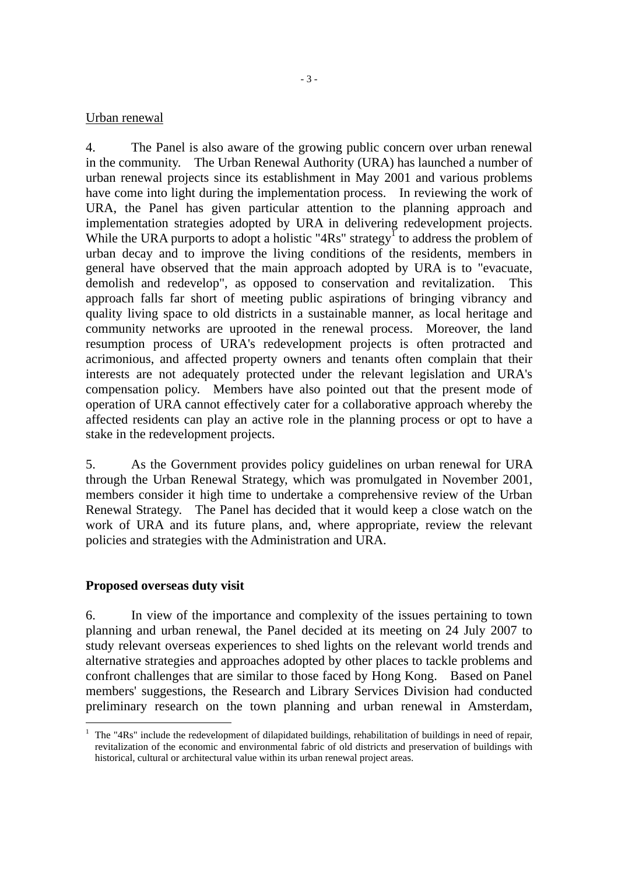#### Urban renewal

4. The Panel is also aware of the growing public concern over urban renewal in the community. The Urban Renewal Authority (URA) has launched a number of urban renewal projects since its establishment in May 2001 and various problems have come into light during the implementation process. In reviewing the work of URA, the Panel has given particular attention to the planning approach and implementation strategies adopted by URA in delivering redevelopment projects. While the URA purports to adopt a holistic " $4Rs$ " strategy<sup>1</sup> to address the problem of urban decay and to improve the living conditions of the residents, members in general have observed that the main approach adopted by URA is to "evacuate, demolish and redevelop", as opposed to conservation and revitalization. This approach falls far short of meeting public aspirations of bringing vibrancy and quality living space to old districts in a sustainable manner, as local heritage and community networks are uprooted in the renewal process. Moreover, the land resumption process of URA's redevelopment projects is often protracted and acrimonious, and affected property owners and tenants often complain that their interests are not adequately protected under the relevant legislation and URA's compensation policy. Members have also pointed out that the present mode of operation of URA cannot effectively cater for a collaborative approach whereby the affected residents can play an active role in the planning process or opt to have a stake in the redevelopment projects.

5. As the Government provides policy guidelines on urban renewal for URA through the Urban Renewal Strategy, which was promulgated in November 2001, members consider it high time to undertake a comprehensive review of the Urban Renewal Strategy. The Panel has decided that it would keep a close watch on the work of URA and its future plans, and, where appropriate, review the relevant policies and strategies with the Administration and URA.

#### **Proposed overseas duty visit**

 $\overline{a}$ 

6. In view of the importance and complexity of the issues pertaining to town planning and urban renewal, the Panel decided at its meeting on 24 July 2007 to study relevant overseas experiences to shed lights on the relevant world trends and alternative strategies and approaches adopted by other places to tackle problems and confront challenges that are similar to those faced by Hong Kong. Based on Panel members' suggestions, the Research and Library Services Division had conducted preliminary research on the town planning and urban renewal in Amsterdam,

<sup>1</sup> The "4Rs" include the redevelopment of dilapidated buildings, rehabilitation of buildings in need of repair, revitalization of the economic and environmental fabric of old districts and preservation of buildings with historical, cultural or architectural value within its urban renewal project areas.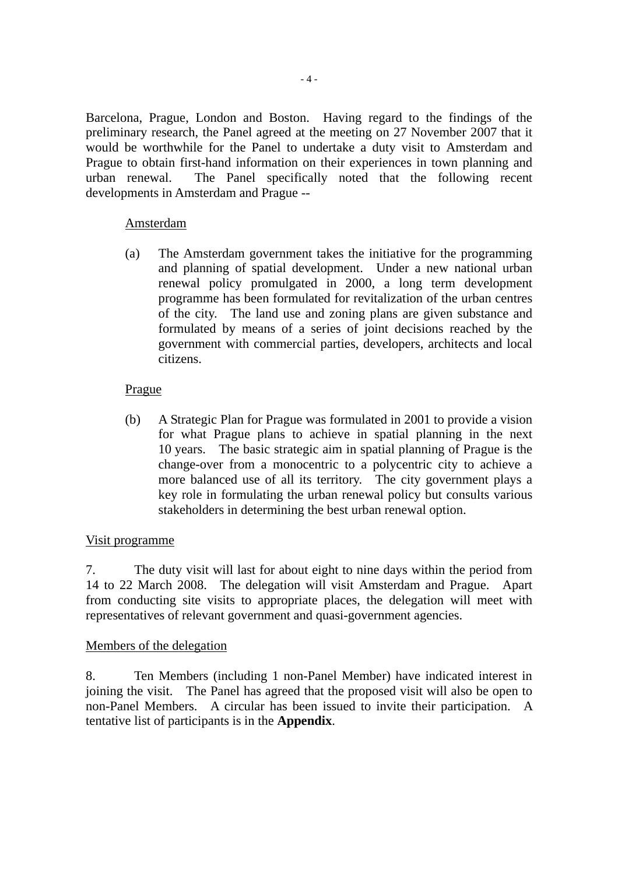Barcelona, Prague, London and Boston. Having regard to the findings of the preliminary research, the Panel agreed at the meeting on 27 November 2007 that it would be worthwhile for the Panel to undertake a duty visit to Amsterdam and Prague to obtain first-hand information on their experiences in town planning and urban renewal. The Panel specifically noted that the following recent developments in Amsterdam and Prague --

# Amsterdam

(a) The Amsterdam government takes the initiative for the programming and planning of spatial development. Under a new national urban renewal policy promulgated in 2000, a long term development programme has been formulated for revitalization of the urban centres of the city. The land use and zoning plans are given substance and formulated by means of a series of joint decisions reached by the government with commercial parties, developers, architects and local citizens.

# Prague

(b) A Strategic Plan for Prague was formulated in 2001 to provide a vision for what Prague plans to achieve in spatial planning in the next 10 years. The basic strategic aim in spatial planning of Prague is the change-over from a monocentric to a polycentric city to achieve a more balanced use of all its territory. The city government plays a key role in formulating the urban renewal policy but consults various stakeholders in determining the best urban renewal option.

# Visit programme

7. The duty visit will last for about eight to nine days within the period from 14 to 22 March 2008. The delegation will visit Amsterdam and Prague. Apart from conducting site visits to appropriate places, the delegation will meet with representatives of relevant government and quasi-government agencies.

# Members of the delegation

8. Ten Members (including 1 non-Panel Member) have indicated interest in joining the visit. The Panel has agreed that the proposed visit will also be open to non-Panel Members. A circular has been issued to invite their participation. A tentative list of participants is in the **Appendix**.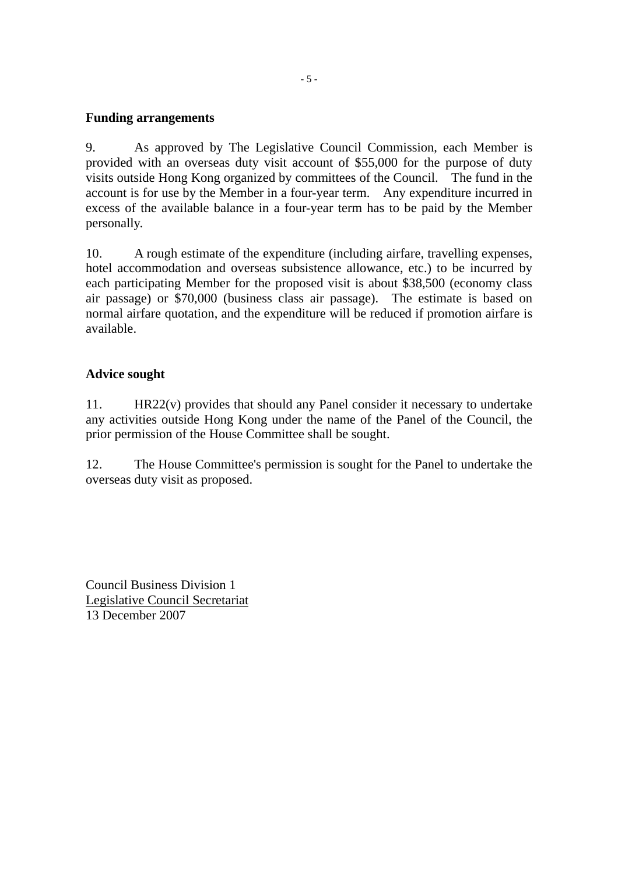# **Funding arrangements**

9. As approved by The Legislative Council Commission, each Member is provided with an overseas duty visit account of \$55,000 for the purpose of duty visits outside Hong Kong organized by committees of the Council. The fund in the account is for use by the Member in a four-year term. Any expenditure incurred in excess of the available balance in a four-year term has to be paid by the Member personally.

10. A rough estimate of the expenditure (including airfare, travelling expenses, hotel accommodation and overseas subsistence allowance, etc.) to be incurred by each participating Member for the proposed visit is about \$38,500 (economy class air passage) or \$70,000 (business class air passage). The estimate is based on normal airfare quotation, and the expenditure will be reduced if promotion airfare is available.

# **Advice sought**

11. HR22(v) provides that should any Panel consider it necessary to undertake any activities outside Hong Kong under the name of the Panel of the Council, the prior permission of the House Committee shall be sought.

12. The House Committee's permission is sought for the Panel to undertake the overseas duty visit as proposed.

Council Business Division 1 Legislative Council Secretariat 13 December 2007